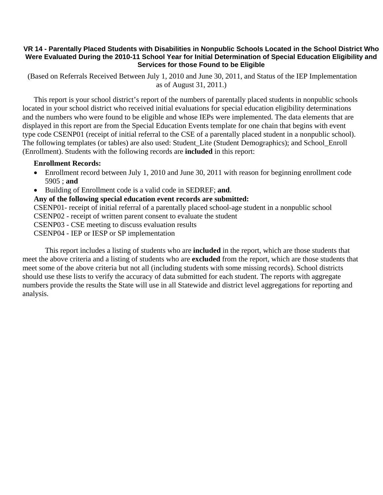## **VR 14 - Parentally Placed Students with Disabilities in Nonpublic Schools Located in the School District Who Were Evaluated During the 2010-11 School Year for Initial Determination of Special Education Eligibility and Services for those Found to be Eligible**

 (Based on Referrals Received Between July 1, 2010 and June 30, 2011, and Status of the IEP Implementation as of August 31, 2011.)

This report is your school district's report of the numbers of parentally placed students in nonpublic schools located in your school district who received initial evaluations for special education eligibility determinations and the numbers who were found to be eligible and whose IEPs were implemented. The data elements that are displayed in this report are from the Special Education Events template for one chain that begins with event type code CSENP01 (receipt of initial referral to the CSE of a parentally placed student in a nonpublic school). The following templates (or tables) are also used: Student\_Lite (Student Demographics); and School\_Enroll (Enrollment). Students with the following records are **included** in this report:

## **Enrollment Records:**

- Enrollment record between July 1, 2010 and June 30, 2011 with reason for beginning enrollment code 5905 ; **and**
- Building of Enrollment code is a valid code in SEDREF; **and**.

**Any of the following special education event records are submitted:** 

CSENP01- receipt of initial referral of a parentally placed school-age student in a nonpublic school

CSENP02 - receipt of written parent consent to evaluate the student

CSENP03 - CSE meeting to discuss evaluation results

CSENP04 - IEP or IESP or SP implementation

 This report includes a listing of students who are **included** in the report, which are those students that meet the above criteria and a listing of students who are **excluded** from the report, which are those students that meet some of the above criteria but not all (including students with some missing records). School districts should use these lists to verify the accuracy of data submitted for each student. The reports with aggregate numbers provide the results the State will use in all Statewide and district level aggregations for reporting and analysis.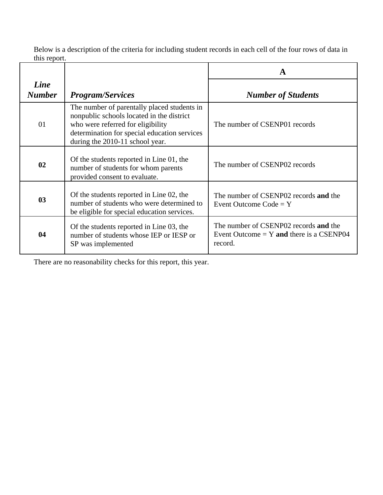Below is a description of the criteria for including student records in each cell of the four rows of data in this report.

|                       |                                                                                                                                                                                                                  | A                                                                                              |  |
|-----------------------|------------------------------------------------------------------------------------------------------------------------------------------------------------------------------------------------------------------|------------------------------------------------------------------------------------------------|--|
| Line<br><b>Number</b> | <b>Program/Services</b>                                                                                                                                                                                          | <b>Number of Students</b>                                                                      |  |
| 01                    | The number of parentally placed students in<br>nonpublic schools located in the district<br>who were referred for eligibility<br>determination for special education services<br>during the 2010-11 school year. | The number of CSENP01 records                                                                  |  |
| 02                    | Of the students reported in Line 01, the<br>number of students for whom parents<br>provided consent to evaluate.                                                                                                 | The number of CSENP02 records                                                                  |  |
| 0 <sub>3</sub>        | Of the students reported in Line 02, the<br>number of students who were determined to<br>be eligible for special education services.                                                                             | The number of CSENP02 records and the<br>Event Outcome $Code = Y$                              |  |
| 04                    | Of the students reported in Line 03, the<br>number of students whose IEP or IESP or<br>SP was implemented                                                                                                        | The number of CSENP02 records and the<br>Event Outcome $= Y$ and there is a CSENP04<br>record. |  |

There are no reasonability checks for this report, this year.